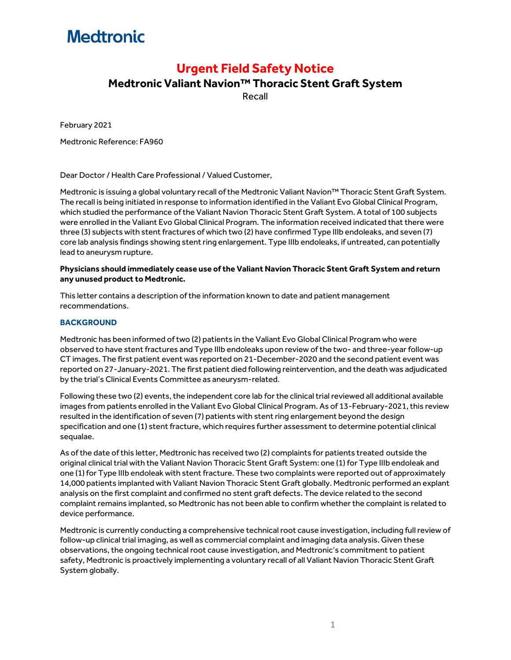# **Medtronic**

### **Urgent Field Safety Notice**

### **Medtronic Valiant Navion™ Thoracic Stent Graft System**

Recall

February 2021

Medtronic Reference: FA960

Dear Doctor / Health Care Professional / Valued Customer,

Medtronic is issuing a global voluntary recall of the Medtronic Valiant Navion™ Thoracic Stent Graft System. The recall is being initiated in response to information identified in the Valiant Evo Global Clinical Program, which studied the performance of the Valiant Navion Thoracic Stent Graft System. A total of 100 subjects were enrolled in the Valiant Evo Global Clinical Program. The information received indicated that there were three (3) subjects with stent fractures of which two (2) have confirmed Type IIIb endoleaks, and seven (7) core lab analysis findings showing stent ring enlargement. Type IIIb endoleaks, if untreated, can potentially lead to aneurysm rupture.

#### **Physicians should immediately cease use of the Valiant Navion Thoracic Stent Graft System and return any unused product to Medtronic.**

This letter contains a description of the information known to date and patient management recommendations.

### **BACKGROUND**

Medtronic has been informed of two (2) patients in the Valiant Evo Global Clinical Program who were observed to have stent fractures and Type IIIb endoleaks upon review of the two- and three-year follow-up CT images. The first patient event was reported on 21-December-2020 and the second patient event was reported on 27-January-2021. The first patient died following reintervention, and the death was adjudicated by the trial's Clinical Events Committee as aneurysm-related.

Following these two (2) events, the independent core lab for the clinical trial reviewed all additional available images from patients enrolled in the Valiant Evo Global Clinical Program. As of 13-February-2021, this review resulted in the identification of seven (7) patients with stent ring enlargement beyond the design specification and one (1) stent fracture, which requires further assessment to determine potential clinical sequalae.

As of the date of this letter, Medtronic has received two (2) complaints for patients treated outside the original clinical trial with the Valiant Navion Thoracic Stent Graft System: one (1) for Type IIIb endoleak and one (1) for Type IIIb endoleak with stent fracture. These two complaints were reported out of approximately 14,000 patients implanted with Valiant Navion Thoracic Stent Graft globally. Medtronic performed an explant analysis on the first complaint and confirmed no stent graft defects. The device related to the second complaint remains implanted, so Medtronic has not been able to confirm whether the complaint is related to device performance.

Medtronic is currently conducting a comprehensive technical root cause investigation, including full review of follow-up clinical trial imaging, as well as commercial complaint and imaging data analysis. Given these observations, the ongoing technical root cause investigation, and Medtronic's commitment to patient safety, Medtronic is proactively implementing a voluntary recall of all Valiant Navion Thoracic Stent Graft System globally.